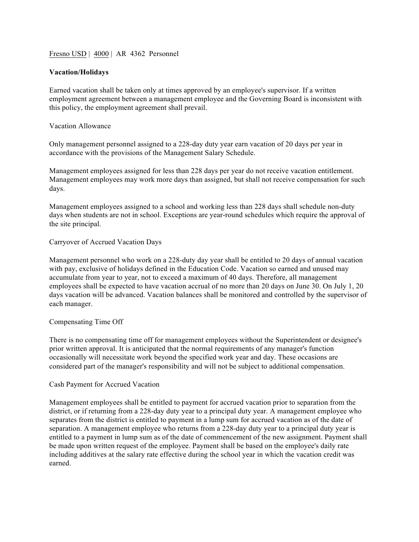Fresno USD | 4000 | AR 4362 Personnel

# **Vacation/Holidays**

Earned vacation shall be taken only at times approved by an employee's supervisor. If a written employment agreement between a management employee and the Governing Board is inconsistent with this policy, the employment agreement shall prevail.

# Vacation Allowance

Only management personnel assigned to a 228-day duty year earn vacation of 20 days per year in accordance with the provisions of the Management Salary Schedule.

Management employees assigned for less than 228 days per year do not receive vacation entitlement. Management employees may work more days than assigned, but shall not receive compensation for such days.

Management employees assigned to a school and working less than 228 days shall schedule non-duty days when students are not in school. Exceptions are year-round schedules which require the approval of the site principal.

### Carryover of Accrued Vacation Days

Management personnel who work on a 228-duty day year shall be entitled to 20 days of annual vacation with pay, exclusive of holidays defined in the Education Code. Vacation so earned and unused may accumulate from year to year, not to exceed a maximum of 40 days. Therefore, all management employees shall be expected to have vacation accrual of no more than 20 days on June 30. On July 1, 20 days vacation will be advanced. Vacation balances shall be monitored and controlled by the supervisor of each manager.

# Compensating Time Off

There is no compensating time off for management employees without the Superintendent or designee's prior written approval. It is anticipated that the normal requirements of any manager's function occasionally will necessitate work beyond the specified work year and day. These occasions are considered part of the manager's responsibility and will not be subject to additional compensation.

# Cash Payment for Accrued Vacation

Management employees shall be entitled to payment for accrued vacation prior to separation from the district, or if returning from a 228-day duty year to a principal duty year. A management employee who separates from the district is entitled to payment in a lump sum for accrued vacation as of the date of separation. A management employee who returns from a 228-day duty year to a principal duty year is entitled to a payment in lump sum as of the date of commencement of the new assignment. Payment shall be made upon written request of the employee. Payment shall be based on the employee's daily rate including additives at the salary rate effective during the school year in which the vacation credit was earned.